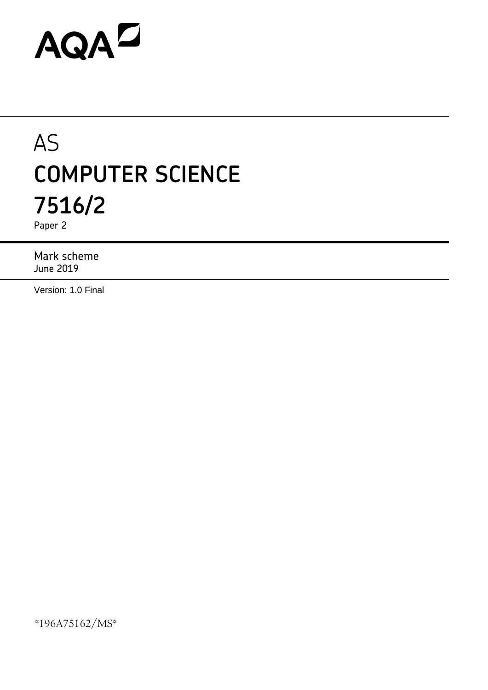# AQAD

# AS **COMPUTER SCIENCE 7516/2**

Paper 2

Mark scheme June 2019

Version: 1.0 Final

\*196A75162/MS\*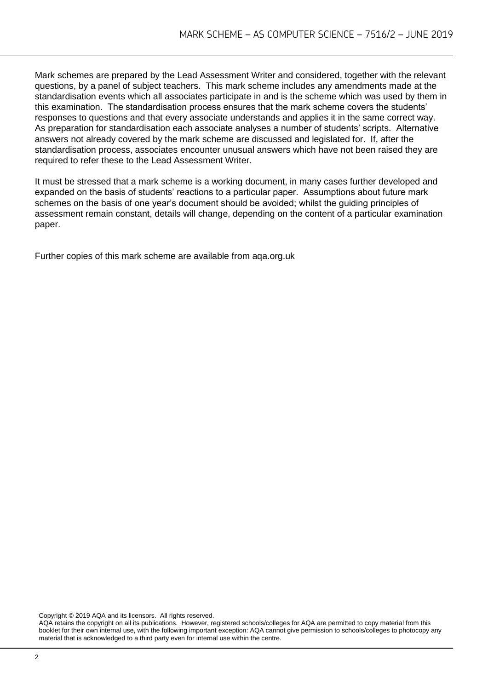Mark schemes are prepared by the Lead Assessment Writer and considered, together with the relevant questions, by a panel of subject teachers. This mark scheme includes any amendments made at the standardisation events which all associates participate in and is the scheme which was used by them in this examination. The standardisation process ensures that the mark scheme covers the students' responses to questions and that every associate understands and applies it in the same correct way. As preparation for standardisation each associate analyses a number of students' scripts. Alternative answers not already covered by the mark scheme are discussed and legislated for. If, after the standardisation process, associates encounter unusual answers which have not been raised they are required to refer these to the Lead Assessment Writer.

It must be stressed that a mark scheme is a working document, in many cases further developed and expanded on the basis of students' reactions to a particular paper. Assumptions about future mark schemes on the basis of one year's document should be avoided; whilst the guiding principles of assessment remain constant, details will change, depending on the content of a particular examination paper.

Further copies of this mark scheme are available from aqa.org.uk

Copyright © 2019 AQA and its licensors. All rights reserved.

AQA retains the copyright on all its publications. However, registered schools/colleges for AQA are permitted to copy material from this booklet for their own internal use, with the following important exception: AQA cannot give permission to schools/colleges to photocopy any material that is acknowledged to a third party even for internal use within the centre.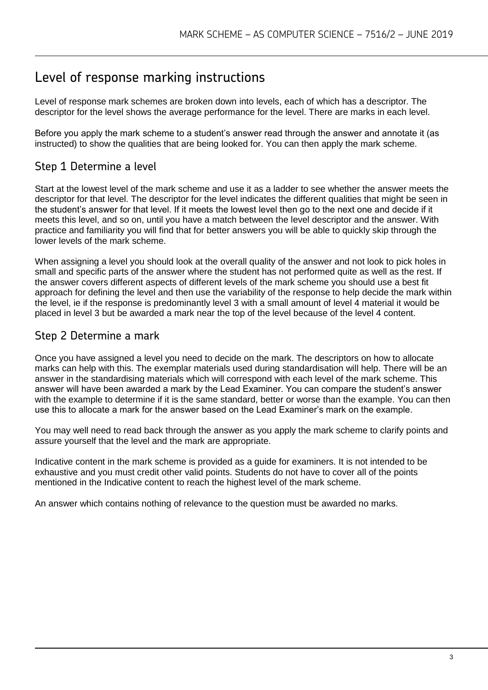# Level of response marking instructions

Level of response mark schemes are broken down into levels, each of which has a descriptor. The descriptor for the level shows the average performance for the level. There are marks in each level.

Before you apply the mark scheme to a student's answer read through the answer and annotate it (as instructed) to show the qualities that are being looked for. You can then apply the mark scheme.

# Step 1 Determine a level

Start at the lowest level of the mark scheme and use it as a ladder to see whether the answer meets the descriptor for that level. The descriptor for the level indicates the different qualities that might be seen in the student's answer for that level. If it meets the lowest level then go to the next one and decide if it meets this level, and so on, until you have a match between the level descriptor and the answer. With practice and familiarity you will find that for better answers you will be able to quickly skip through the lower levels of the mark scheme.

When assigning a level you should look at the overall quality of the answer and not look to pick holes in small and specific parts of the answer where the student has not performed quite as well as the rest. If the answer covers different aspects of different levels of the mark scheme you should use a best fit approach for defining the level and then use the variability of the response to help decide the mark within the level, ie if the response is predominantly level 3 with a small amount of level 4 material it would be placed in level 3 but be awarded a mark near the top of the level because of the level 4 content.

## Step 2 Determine a mark

Once you have assigned a level you need to decide on the mark. The descriptors on how to allocate marks can help with this. The exemplar materials used during standardisation will help. There will be an answer in the standardising materials which will correspond with each level of the mark scheme. This answer will have been awarded a mark by the Lead Examiner. You can compare the student's answer with the example to determine if it is the same standard, better or worse than the example. You can then use this to allocate a mark for the answer based on the Lead Examiner's mark on the example.

You may well need to read back through the answer as you apply the mark scheme to clarify points and assure yourself that the level and the mark are appropriate.

Indicative content in the mark scheme is provided as a guide for examiners. It is not intended to be exhaustive and you must credit other valid points. Students do not have to cover all of the points mentioned in the Indicative content to reach the highest level of the mark scheme.

An answer which contains nothing of relevance to the question must be awarded no marks.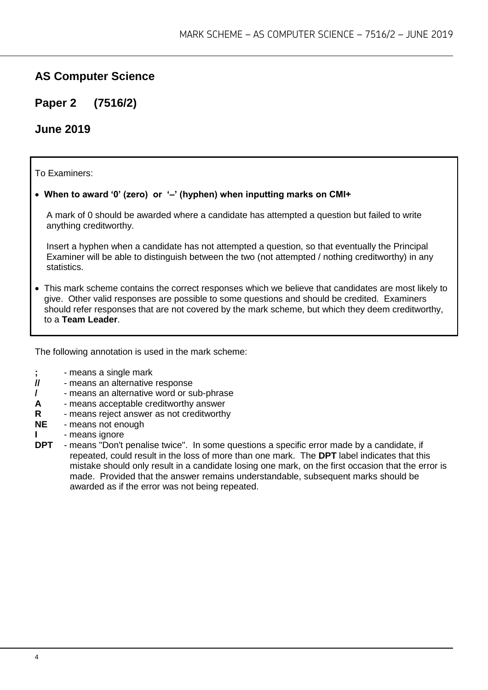# **AS Computer Science**

**Paper 2 (7516/2)**

### **June 2019**

To Examiners:

#### **When to award '0' (zero) or '–' (hyphen) when inputting marks on CMI+**

A mark of 0 should be awarded where a candidate has attempted a question but failed to write anything creditworthy.

Insert a hyphen when a candidate has not attempted a question, so that eventually the Principal Examiner will be able to distinguish between the two (not attempted / nothing creditworthy) in any statistics.

 This mark scheme contains the correct responses which we believe that candidates are most likely to give. Other valid responses are possible to some questions and should be credited. Examiners should refer responses that are not covered by the mark scheme, but which they deem creditworthy, to a **Team Leader**.

The following annotation is used in the mark scheme:

- **;** means a single mark<br>*II* means an alternative
- **//** means an alternative response
- **/**  means an alternative word or sub-phrase
- **A** means acceptable creditworthy answer
- **R** means reject answer as not creditworthy
- **NE** means not enough
- **I** means ignore
- **DPT** means "Don't penalise twice". In some questions a specific error made by a candidate, if repeated, could result in the loss of more than one mark. The **DPT** label indicates that this mistake should only result in a candidate losing one mark, on the first occasion that the error is made. Provided that the answer remains understandable, subsequent marks should be awarded as if the error was not being repeated.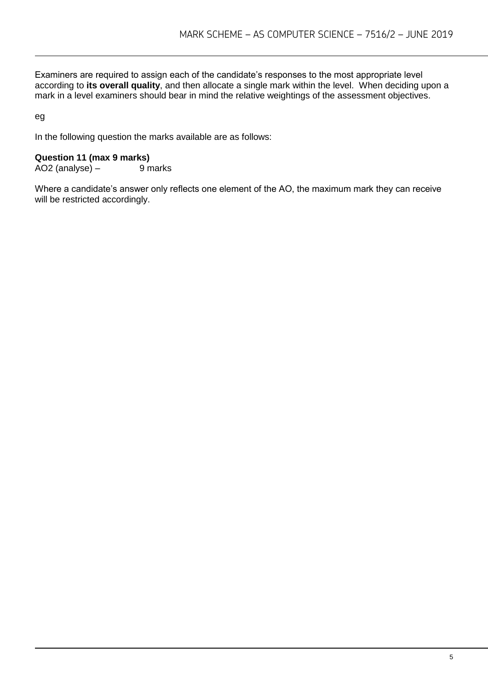Examiners are required to assign each of the candidate's responses to the most appropriate level according to **its overall quality**, and then allocate a single mark within the level. When deciding upon a mark in a level examiners should bear in mind the relative weightings of the assessment objectives.

eg

In the following question the marks available are as follows:

#### **Question 11 (max 9 marks)**

 $AO2$  (analyse) – 9 marks

Where a candidate's answer only reflects one element of the AO, the maximum mark they can receive will be restricted accordingly.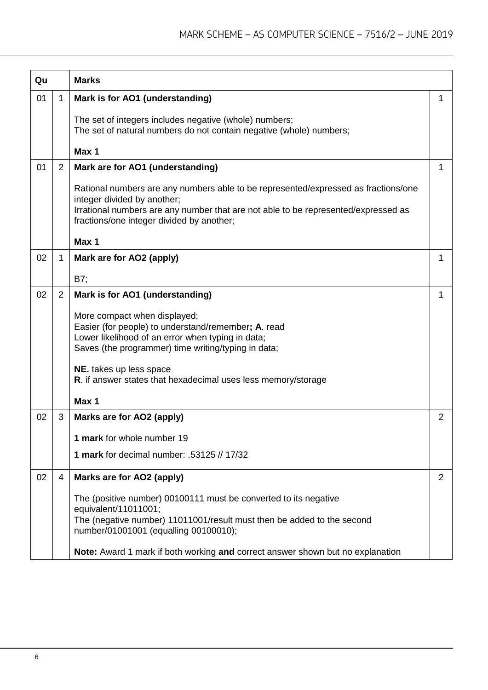| Qu |                | <b>Marks</b>                                                                                                                                                                                                                                         |   |
|----|----------------|------------------------------------------------------------------------------------------------------------------------------------------------------------------------------------------------------------------------------------------------------|---|
| 01 | $\mathbf 1$    | Mark is for AO1 (understanding)                                                                                                                                                                                                                      | 1 |
|    |                | The set of integers includes negative (whole) numbers;<br>The set of natural numbers do not contain negative (whole) numbers;                                                                                                                        |   |
|    |                | Max 1                                                                                                                                                                                                                                                |   |
| 01 | $\overline{2}$ | Mark are for AO1 (understanding)                                                                                                                                                                                                                     | 1 |
|    |                | Rational numbers are any numbers able to be represented/expressed as fractions/one<br>integer divided by another;<br>Irrational numbers are any number that are not able to be represented/expressed as<br>fractions/one integer divided by another; |   |
|    |                | Max 1                                                                                                                                                                                                                                                |   |
| 02 | 1              | Mark are for AO2 (apply)                                                                                                                                                                                                                             | 1 |
|    |                | B7;                                                                                                                                                                                                                                                  |   |
| 02 | $\overline{2}$ | Mark is for AO1 (understanding)                                                                                                                                                                                                                      | 1 |
|    |                | More compact when displayed;<br>Easier (for people) to understand/remember; A. read<br>Lower likelihood of an error when typing in data;<br>Saves (the programmer) time writing/typing in data;                                                      |   |
|    |                | NE. takes up less space<br>R. if answer states that hexadecimal uses less memory/storage                                                                                                                                                             |   |
|    |                | Max 1                                                                                                                                                                                                                                                |   |
| 02 | 3              | Marks are for AO2 (apply)                                                                                                                                                                                                                            | 2 |
|    |                | 1 mark for whole number 19                                                                                                                                                                                                                           |   |
|    |                | 1 mark for decimal number: .53125 // 17/32                                                                                                                                                                                                           |   |
| 02 | 4              | Marks are for AO2 (apply)                                                                                                                                                                                                                            | 2 |
|    |                | The (positive number) 00100111 must be converted to its negative<br>equivalent/11011001;<br>The (negative number) 11011001/result must then be added to the second<br>number/01001001 (equalling 00100010);                                          |   |
|    |                | Note: Award 1 mark if both working and correct answer shown but no explanation                                                                                                                                                                       |   |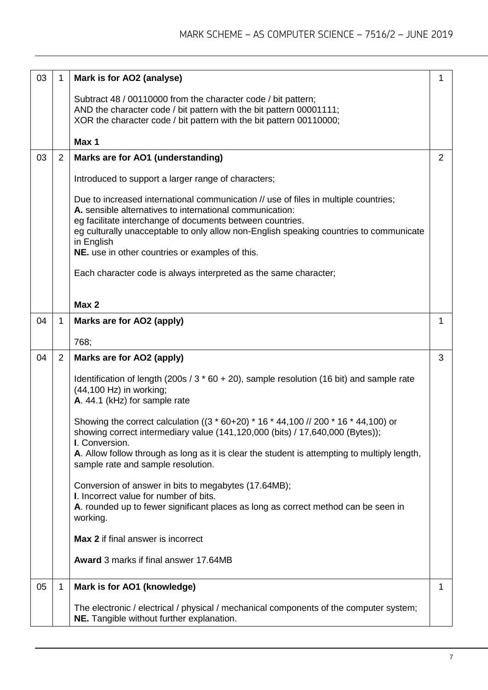| 03 | 1              | Mark is for AO2 (analyse)                                                                                                                                                                                                                                                                                                                                               | 1            |
|----|----------------|-------------------------------------------------------------------------------------------------------------------------------------------------------------------------------------------------------------------------------------------------------------------------------------------------------------------------------------------------------------------------|--------------|
|    |                | Subtract 48 / 00110000 from the character code / bit pattern;<br>AND the character code / bit pattern with the bit pattern 00001111;<br>XOR the character code / bit pattern with the bit pattern 00110000;                                                                                                                                                             |              |
|    |                |                                                                                                                                                                                                                                                                                                                                                                         |              |
|    |                | Max 1                                                                                                                                                                                                                                                                                                                                                                   |              |
| 03 | $\overline{2}$ | Marks are for AO1 (understanding)                                                                                                                                                                                                                                                                                                                                       | 2            |
|    |                | Introduced to support a larger range of characters;                                                                                                                                                                                                                                                                                                                     |              |
|    |                | Due to increased international communication // use of files in multiple countries;<br>A. sensible alternatives to international communication:<br>eg facilitate interchange of documents between countries.<br>eg culturally unacceptable to only allow non-English speaking countries to communicate<br>in English<br>NE. use in other countries or examples of this. |              |
|    |                | Each character code is always interpreted as the same character;                                                                                                                                                                                                                                                                                                        |              |
|    |                | Max 2                                                                                                                                                                                                                                                                                                                                                                   |              |
| 04 | 1              | Marks are for AO2 (apply)                                                                                                                                                                                                                                                                                                                                               | $\mathbf{1}$ |
|    |                |                                                                                                                                                                                                                                                                                                                                                                         |              |
|    |                | 768;                                                                                                                                                                                                                                                                                                                                                                    |              |
| 04 | $\overline{2}$ | Marks are for AO2 (apply)                                                                                                                                                                                                                                                                                                                                               | 3            |
|    |                | Identification of length (200s / $3 * 60 + 20$ ), sample resolution (16 bit) and sample rate<br>(44,100 Hz) in working;<br>A. 44.1 (kHz) for sample rate                                                                                                                                                                                                                |              |
|    |                | Showing the correct calculation ( $(3 * 60+20) * 16 * 44,100$ // 200 $* 16 * 44,100$ ) or<br>showing correct intermediary value (141,120,000 (bits) / 17,640,000 (Bytes));<br>I. Conversion.                                                                                                                                                                            |              |
|    |                | A. Allow follow through as long as it is clear the student is attempting to multiply length,<br>sample rate and sample resolution.                                                                                                                                                                                                                                      |              |
|    |                | Conversion of answer in bits to megabytes (17.64MB);<br>I. Incorrect value for number of bits.                                                                                                                                                                                                                                                                          |              |
|    |                | A. rounded up to fewer significant places as long as correct method can be seen in<br>working.                                                                                                                                                                                                                                                                          |              |
|    |                | <b>Max 2</b> if final answer is incorrect                                                                                                                                                                                                                                                                                                                               |              |
|    |                | Award 3 marks if final answer 17.64MB                                                                                                                                                                                                                                                                                                                                   |              |
| 05 | 1              | Mark is for AO1 (knowledge)                                                                                                                                                                                                                                                                                                                                             | 1            |
|    |                | The electronic / electrical / physical / mechanical components of the computer system;<br>NE. Tangible without further explanation.                                                                                                                                                                                                                                     |              |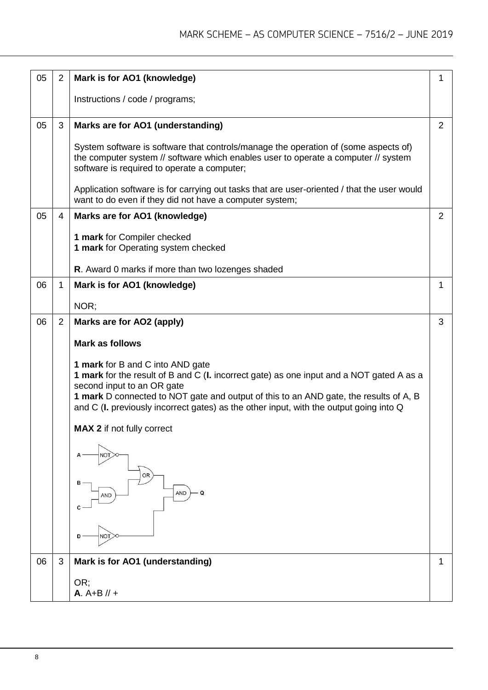| 05 | 2              | Mark is for AO1 (knowledge)                                                                                                                                                                                                                                                                                                                   | 1            |  |  |
|----|----------------|-----------------------------------------------------------------------------------------------------------------------------------------------------------------------------------------------------------------------------------------------------------------------------------------------------------------------------------------------|--------------|--|--|
|    |                | Instructions / code / programs;                                                                                                                                                                                                                                                                                                               |              |  |  |
| 05 | 3              | Marks are for AO1 (understanding)                                                                                                                                                                                                                                                                                                             |              |  |  |
|    |                | System software is software that controls/manage the operation of (some aspects of)<br>the computer system // software which enables user to operate a computer // system<br>software is required to operate a computer;                                                                                                                      |              |  |  |
|    |                | Application software is for carrying out tasks that are user-oriented / that the user would<br>want to do even if they did not have a computer system;                                                                                                                                                                                        |              |  |  |
| 05 | $\overline{4}$ | Marks are for AO1 (knowledge)                                                                                                                                                                                                                                                                                                                 |              |  |  |
|    |                | 1 mark for Compiler checked<br>1 mark for Operating system checked                                                                                                                                                                                                                                                                            |              |  |  |
|    |                | R. Award 0 marks if more than two lozenges shaded                                                                                                                                                                                                                                                                                             |              |  |  |
| 06 | $\mathbf{1}$   | Mark is for AO1 (knowledge)                                                                                                                                                                                                                                                                                                                   | $\mathbf{1}$ |  |  |
|    |                | NOR;                                                                                                                                                                                                                                                                                                                                          |              |  |  |
| 06 | $\overline{2}$ | Marks are for AO2 (apply)                                                                                                                                                                                                                                                                                                                     | 3            |  |  |
|    |                | <b>Mark as follows</b>                                                                                                                                                                                                                                                                                                                        |              |  |  |
|    |                | 1 mark for B and C into AND gate<br>1 mark for the result of B and C (I. incorrect gate) as one input and a NOT gated A as a<br>second input to an OR gate<br>1 mark D connected to NOT gate and output of this to an AND gate, the results of A, B<br>and C (I. previously incorrect gates) as the other input, with the output going into Q |              |  |  |
|    |                | <b>MAX 2</b> if not fully correct                                                                                                                                                                                                                                                                                                             |              |  |  |
|    |                |                                                                                                                                                                                                                                                                                                                                               |              |  |  |
|    |                | OR<br>в<br>- Q<br>AND<br><b>AND</b>                                                                                                                                                                                                                                                                                                           |              |  |  |
|    |                | <b>NOT</b>                                                                                                                                                                                                                                                                                                                                    |              |  |  |
| 06 | 3              | Mark is for AO1 (understanding)                                                                                                                                                                                                                                                                                                               | 1            |  |  |
|    |                | OR:<br>$A. A + B // +$                                                                                                                                                                                                                                                                                                                        |              |  |  |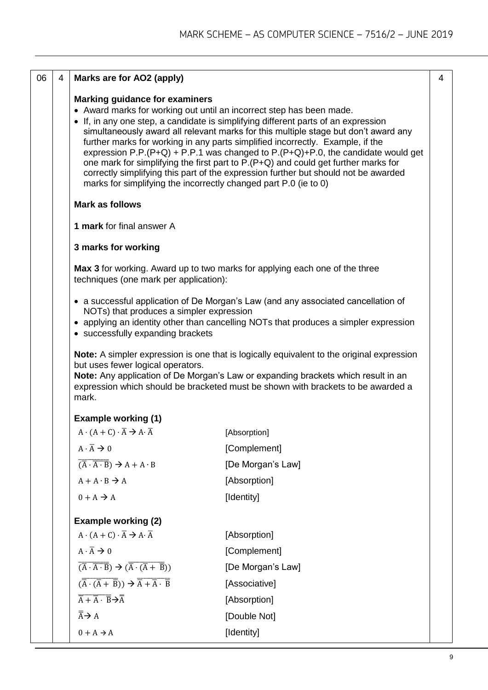| 06 | 4 | Marks are for AO2 (apply)                                                                                                                                                                                                                                                                                                                                                                                                                                                                                                                                                                                                                                                                                           |                                                                                                                                                                           | $\overline{4}$ |
|----|---|---------------------------------------------------------------------------------------------------------------------------------------------------------------------------------------------------------------------------------------------------------------------------------------------------------------------------------------------------------------------------------------------------------------------------------------------------------------------------------------------------------------------------------------------------------------------------------------------------------------------------------------------------------------------------------------------------------------------|---------------------------------------------------------------------------------------------------------------------------------------------------------------------------|----------------|
|    |   | <b>Marking guidance for examiners</b><br>• Award marks for working out until an incorrect step has been made.<br>• If, in any one step, a candidate is simplifying different parts of an expression<br>simultaneously award all relevant marks for this multiple stage but don't award any<br>further marks for working in any parts simplified incorrectly. Example, if the<br>expression P.P. (P+Q) + P.P.1 was changed to P. (P+Q)+P.0, the candidate would get<br>one mark for simplifying the first part to P.(P+Q) and could get further marks for<br>correctly simplifying this part of the expression further but should not be awarded<br>marks for simplifying the incorrectly changed part P.0 (ie to 0) |                                                                                                                                                                           |                |
|    |   | <b>Mark as follows</b>                                                                                                                                                                                                                                                                                                                                                                                                                                                                                                                                                                                                                                                                                              |                                                                                                                                                                           |                |
|    |   | 1 mark for final answer A                                                                                                                                                                                                                                                                                                                                                                                                                                                                                                                                                                                                                                                                                           |                                                                                                                                                                           |                |
|    |   | 3 marks for working                                                                                                                                                                                                                                                                                                                                                                                                                                                                                                                                                                                                                                                                                                 |                                                                                                                                                                           |                |
|    |   | techniques (one mark per application):                                                                                                                                                                                                                                                                                                                                                                                                                                                                                                                                                                                                                                                                              | Max 3 for working. Award up to two marks for applying each one of the three                                                                                               |                |
|    |   | NOTs) that produces a simpler expression<br>• successfully expanding brackets                                                                                                                                                                                                                                                                                                                                                                                                                                                                                                                                                                                                                                       | • a successful application of De Morgan's Law (and any associated cancellation of<br>• applying an identity other than cancelling NOTs that produces a simpler expression |                |
|    |   | <b>Note:</b> A simpler expression is one that is logically equivalent to the original expression<br>but uses fewer logical operators.<br>Note: Any application of De Morgan's Law or expanding brackets which result in an<br>expression which should be bracketed must be shown with brackets to be awarded a<br>mark.                                                                                                                                                                                                                                                                                                                                                                                             |                                                                                                                                                                           |                |
|    |   | <b>Example working (1)</b>                                                                                                                                                                                                                                                                                                                                                                                                                                                                                                                                                                                                                                                                                          |                                                                                                                                                                           |                |
|    |   | $A \cdot (A + C) \cdot \overline{A} \rightarrow A \cdot \overline{A}$                                                                                                                                                                                                                                                                                                                                                                                                                                                                                                                                                                                                                                               | [Absorption]                                                                                                                                                              |                |
|    |   | $A \cdot \overline{A} \rightarrow 0$                                                                                                                                                                                                                                                                                                                                                                                                                                                                                                                                                                                                                                                                                | [Complement]                                                                                                                                                              |                |
|    |   | $\overline{(\overline{A} \cdot \overline{A \cdot B})}$ $\rightarrow$ A + A · B                                                                                                                                                                                                                                                                                                                                                                                                                                                                                                                                                                                                                                      | [De Morgan's Law]                                                                                                                                                         |                |
|    |   | $A + A \cdot B \rightarrow A$                                                                                                                                                                                                                                                                                                                                                                                                                                                                                                                                                                                                                                                                                       | [Absorption]                                                                                                                                                              |                |
|    |   | $0+A\rightarrow A$                                                                                                                                                                                                                                                                                                                                                                                                                                                                                                                                                                                                                                                                                                  | [Identity]                                                                                                                                                                |                |
|    |   | <b>Example working (2)</b>                                                                                                                                                                                                                                                                                                                                                                                                                                                                                                                                                                                                                                                                                          |                                                                                                                                                                           |                |
|    |   | $A \cdot (A + C) \cdot \overline{A} \rightarrow A \cdot \overline{A}$                                                                                                                                                                                                                                                                                                                                                                                                                                                                                                                                                                                                                                               | [Absorption]                                                                                                                                                              |                |
|    |   | $A \cdot \overline{A} \rightarrow 0$                                                                                                                                                                                                                                                                                                                                                                                                                                                                                                                                                                                                                                                                                | [Complement]                                                                                                                                                              |                |
|    |   | $\overline{(\overline{A} \cdot \overline{A} \cdot B)} \rightarrow (\overline{\overline{A} \cdot (\overline{A} + \overline{B})})$                                                                                                                                                                                                                                                                                                                                                                                                                                                                                                                                                                                    | [De Morgan's Law]                                                                                                                                                         |                |
|    |   | $(\overline{\overline{A}} \cdot (\overline{A} + \overline{B})) \rightarrow \overline{\overline{A} + \overline{A} \cdot \overline{B}}$                                                                                                                                                                                                                                                                                                                                                                                                                                                                                                                                                                               | [Associative]                                                                                                                                                             |                |
|    |   | $\overline{\overline{A} + \overline{A} \cdot \overline{B}}$ $\rightarrow \overline{\overline{A}}$                                                                                                                                                                                                                                                                                                                                                                                                                                                                                                                                                                                                                   | [Absorption]                                                                                                                                                              |                |
|    |   | $\overline{A} \rightarrow A$                                                                                                                                                                                                                                                                                                                                                                                                                                                                                                                                                                                                                                                                                        | [Double Not]                                                                                                                                                              |                |
|    |   | $0 + A \rightarrow A$                                                                                                                                                                                                                                                                                                                                                                                                                                                                                                                                                                                                                                                                                               | [Identity]                                                                                                                                                                |                |
|    |   |                                                                                                                                                                                                                                                                                                                                                                                                                                                                                                                                                                                                                                                                                                                     |                                                                                                                                                                           |                |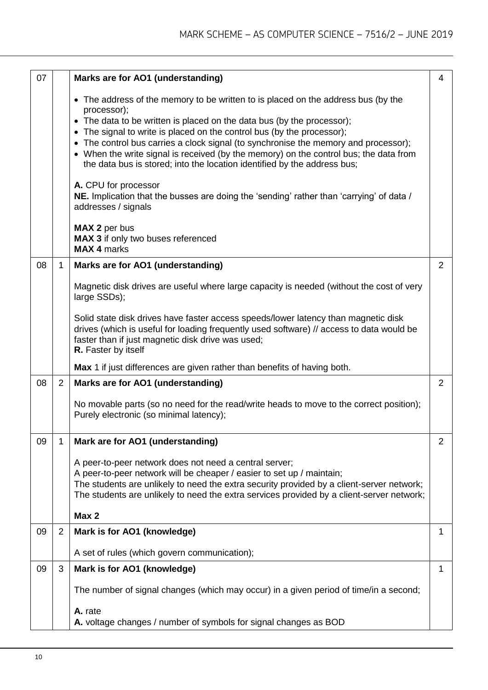| 07 |                | Marks are for AO1 (understanding)                                                                                                                                                                                                                          | 4            |
|----|----------------|------------------------------------------------------------------------------------------------------------------------------------------------------------------------------------------------------------------------------------------------------------|--------------|
|    |                | • The address of the memory to be written to is placed on the address bus (by the<br>processor);                                                                                                                                                           |              |
|    |                | • The data to be written is placed on the data bus (by the processor);                                                                                                                                                                                     |              |
|    |                | • The signal to write is placed on the control bus (by the processor);<br>• The control bus carries a clock signal (to synchronise the memory and processor);                                                                                              |              |
|    |                | • When the write signal is received (by the memory) on the control bus; the data from<br>the data bus is stored; into the location identified by the address bus;                                                                                          |              |
|    |                | A. CPU for processor<br>NE. Implication that the busses are doing the 'sending' rather than 'carrying' of data /<br>addresses / signals                                                                                                                    |              |
|    |                | MAX 2 per bus                                                                                                                                                                                                                                              |              |
|    |                | MAX 3 if only two buses referenced<br><b>MAX 4 marks</b>                                                                                                                                                                                                   |              |
| 08 | $\mathbf 1$    | Marks are for AO1 (understanding)                                                                                                                                                                                                                          | 2            |
|    |                | Magnetic disk drives are useful where large capacity is needed (without the cost of very<br>large SSDs);                                                                                                                                                   |              |
|    |                | Solid state disk drives have faster access speeds/lower latency than magnetic disk<br>drives (which is useful for loading frequently used software) // access to data would be<br>faster than if just magnetic disk drive was used;<br>R. Faster by itself |              |
|    |                | Max 1 if just differences are given rather than benefits of having both.                                                                                                                                                                                   |              |
| 08 | $\overline{2}$ | Marks are for AO1 (understanding)                                                                                                                                                                                                                          | 2            |
|    |                | No movable parts (so no need for the read/write heads to move to the correct position);<br>Purely electronic (so minimal latency);                                                                                                                         |              |
| 09 | 1              | Mark are for AO1 (understanding)                                                                                                                                                                                                                           | 2            |
|    |                | A peer-to-peer network does not need a central server;                                                                                                                                                                                                     |              |
|    |                | A peer-to-peer network will be cheaper / easier to set up / maintain;                                                                                                                                                                                      |              |
|    |                | The students are unlikely to need the extra security provided by a client-server network;<br>The students are unlikely to need the extra services provided by a client-server network;                                                                     |              |
|    |                |                                                                                                                                                                                                                                                            |              |
|    |                | Max 2                                                                                                                                                                                                                                                      |              |
| 09 | $\overline{2}$ | Mark is for AO1 (knowledge)                                                                                                                                                                                                                                | $\mathbf{1}$ |
|    |                | A set of rules (which govern communication);                                                                                                                                                                                                               |              |
| 09 | 3              | Mark is for AO1 (knowledge)                                                                                                                                                                                                                                | $\mathbf 1$  |
|    |                | The number of signal changes (which may occur) in a given period of time/in a second;                                                                                                                                                                      |              |
|    |                | A. rate                                                                                                                                                                                                                                                    |              |
|    |                | A. voltage changes / number of symbols for signal changes as BOD                                                                                                                                                                                           |              |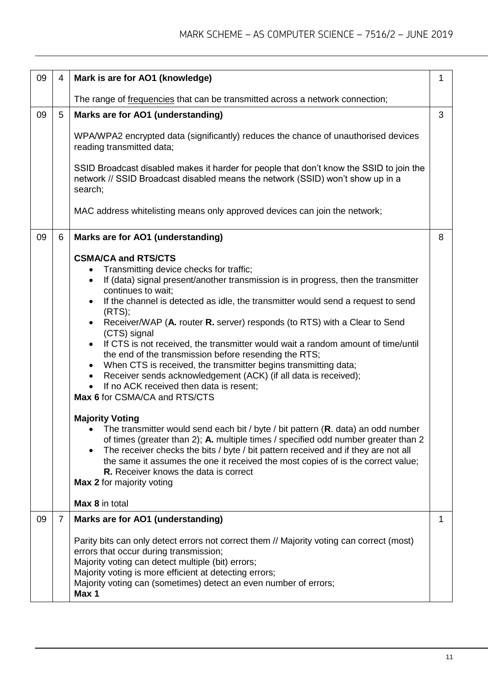| 09 | $\overline{4}$ | Mark is are for AO1 (knowledge)                                                                                                                                                                                                                                                                                                                                                                                                                                                                                                                                                                                                                                                                                                                                                                                                                                                                                                                                                                                                                                                                                                                                                                                                                                                     | $\mathbf 1$ |
|----|----------------|-------------------------------------------------------------------------------------------------------------------------------------------------------------------------------------------------------------------------------------------------------------------------------------------------------------------------------------------------------------------------------------------------------------------------------------------------------------------------------------------------------------------------------------------------------------------------------------------------------------------------------------------------------------------------------------------------------------------------------------------------------------------------------------------------------------------------------------------------------------------------------------------------------------------------------------------------------------------------------------------------------------------------------------------------------------------------------------------------------------------------------------------------------------------------------------------------------------------------------------------------------------------------------------|-------------|
|    |                | The range of frequencies that can be transmitted across a network connection;                                                                                                                                                                                                                                                                                                                                                                                                                                                                                                                                                                                                                                                                                                                                                                                                                                                                                                                                                                                                                                                                                                                                                                                                       |             |
| 09 | 5              | Marks are for AO1 (understanding)                                                                                                                                                                                                                                                                                                                                                                                                                                                                                                                                                                                                                                                                                                                                                                                                                                                                                                                                                                                                                                                                                                                                                                                                                                                   |             |
|    |                | WPA/WPA2 encrypted data (significantly) reduces the chance of unauthorised devices<br>reading transmitted data;                                                                                                                                                                                                                                                                                                                                                                                                                                                                                                                                                                                                                                                                                                                                                                                                                                                                                                                                                                                                                                                                                                                                                                     |             |
|    |                | SSID Broadcast disabled makes it harder for people that don't know the SSID to join the<br>network // SSID Broadcast disabled means the network (SSID) won't show up in a<br>search;                                                                                                                                                                                                                                                                                                                                                                                                                                                                                                                                                                                                                                                                                                                                                                                                                                                                                                                                                                                                                                                                                                |             |
|    |                | MAC address whitelisting means only approved devices can join the network;                                                                                                                                                                                                                                                                                                                                                                                                                                                                                                                                                                                                                                                                                                                                                                                                                                                                                                                                                                                                                                                                                                                                                                                                          |             |
| 09 | 6              | Marks are for AO1 (understanding)                                                                                                                                                                                                                                                                                                                                                                                                                                                                                                                                                                                                                                                                                                                                                                                                                                                                                                                                                                                                                                                                                                                                                                                                                                                   |             |
|    |                | <b>CSMA/CA and RTS/CTS</b><br>Transmitting device checks for traffic;<br>If (data) signal present/another transmission is in progress, then the transmitter<br>$\bullet$<br>continues to wait;<br>If the channel is detected as idle, the transmitter would send a request to send<br>(RTS);<br>Receiver/WAP (A. router R. server) responds (to RTS) with a Clear to Send<br>$\bullet$<br>(CTS) signal<br>If CTS is not received, the transmitter would wait a random amount of time/until<br>$\bullet$<br>the end of the transmission before resending the RTS;<br>When CTS is received, the transmitter begins transmitting data;<br>Receiver sends acknowledgement (ACK) (if all data is received);<br>$\bullet$<br>If no ACK received then data is resent;<br>Max 6 for CSMA/CA and RTS/CTS<br><b>Majority Voting</b><br>The transmitter would send each bit / byte / bit pattern (R. data) an odd number<br>of times (greater than 2); A. multiple times / specified odd number greater than 2<br>The receiver checks the bits / byte / bit pattern received and if they are not all<br>the same it assumes the one it received the most copies of is the correct value;<br><b>R.</b> Receiver knows the data is correct<br><b>Max 2</b> for majority voting<br>Max 8 in total |             |
| 09 | 7              | Marks are for AO1 (understanding)<br>Parity bits can only detect errors not correct them // Majority voting can correct (most)<br>errors that occur during transmission;<br>Majority voting can detect multiple (bit) errors;<br>Majority voting is more efficient at detecting errors;<br>Majority voting can (sometimes) detect an even number of errors;<br>Max 1                                                                                                                                                                                                                                                                                                                                                                                                                                                                                                                                                                                                                                                                                                                                                                                                                                                                                                                | 1           |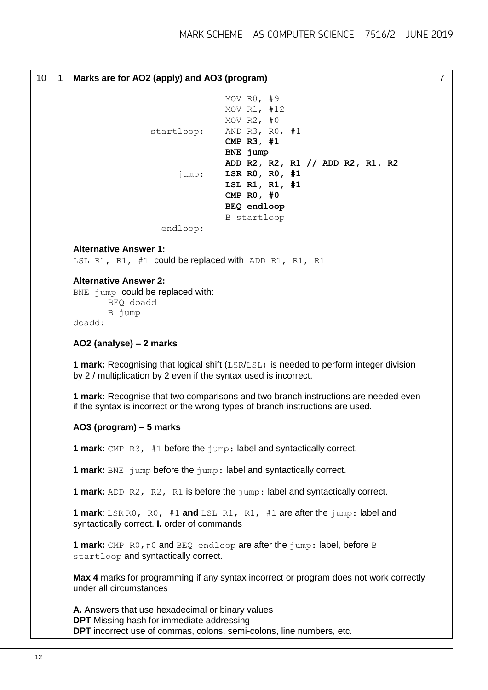```
10 1 Marks are for AO2 (apply) and AO3 (program)
                                   MOV R0, #9
                                   MOV R1, #12
                                   MOV R2, #0
                  startloop: AND R3, R0, #1
                                   CMP R3, #1
                                   BNE jump
                                   ADD R2, R2, R1 // ADD R2, R1, R2
                        jump: LSR R0, R0, #1
                                   LSL R1, R1, #1
                                   CMP R0, #0
                                   BEQ endloop
                                   B startloop
                    endloop:
Alternative Answer 1:
LSL R1, R1, #1 could be replaced with ADD R1, R1, R1
Alternative Answer 2:
BNE jump could be replaced with:
        BEQ doadd
        B jump
doadd:
AO2 (analyse) – 2 marks
1 mark: Recognising that logical shift (LSR/LSL) is needed to perform integer division
by 2 / multiplication by 2 even if the syntax used is incorrect.
1 mark: Recognise that two comparisons and two branch instructions are needed even 
if the syntax is incorrect or the wrong types of branch instructions are used.
AO3 (program) – 5 marks 
1 mark: CMP R3, #1 before the jump: label and syntactically correct.
1 mark: BNE jump before the jump: label and syntactically correct.
1 mark: ADD R2, R2, R1 is before the jump: label and syntactically correct.
1 mark: LSR R0, R0, #1 and LSL R1, R1, #1 are after the jump: label and 
syntactically correct. I. order of commands
1 mark: CMP R0, #0 and BEQ endloop are after the jump: label, before B
startloop and syntactically correct.
Max 4 marks for programming if any syntax incorrect or program does not work correctly 
under all circumstances
A. Answers that use hexadecimal or binary values
DPT Missing hash for immediate addressing 
DPT incorrect use of commas, colons, semi-colons, line numbers, etc.
                                                                                    7
```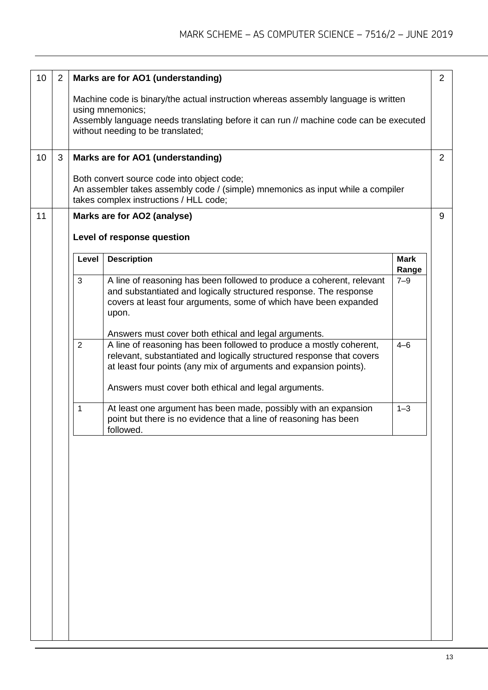| 10 | $\overline{2}$ | 2<br>Marks are for AO1 (understanding)                                                                                                                                  |                                                                                                                                                                                                                         |                      |   |  |
|----|----------------|-------------------------------------------------------------------------------------------------------------------------------------------------------------------------|-------------------------------------------------------------------------------------------------------------------------------------------------------------------------------------------------------------------------|----------------------|---|--|
|    |                | Machine code is binary/the actual instruction whereas assembly language is written<br>using mnemonics;                                                                  |                                                                                                                                                                                                                         |                      |   |  |
|    |                | Assembly language needs translating before it can run // machine code can be executed<br>without needing to be translated;                                              |                                                                                                                                                                                                                         |                      |   |  |
| 10 | 3              |                                                                                                                                                                         | Marks are for AO1 (understanding)                                                                                                                                                                                       |                      | 2 |  |
|    |                | Both convert source code into object code;<br>An assembler takes assembly code / (simple) mnemonics as input while a compiler<br>takes complex instructions / HLL code; |                                                                                                                                                                                                                         |                      |   |  |
| 11 |                | 9<br>Marks are for AO2 (analyse)                                                                                                                                        |                                                                                                                                                                                                                         |                      |   |  |
|    |                |                                                                                                                                                                         | Level of response question                                                                                                                                                                                              |                      |   |  |
|    |                | Level                                                                                                                                                                   | <b>Description</b>                                                                                                                                                                                                      | <b>Mark</b><br>Range |   |  |
|    |                | 3                                                                                                                                                                       | A line of reasoning has been followed to produce a coherent, relevant<br>and substantiated and logically structured response. The response<br>covers at least four arguments, some of which have been expanded<br>upon. | $7 - 9$              |   |  |
|    |                | $\overline{2}$                                                                                                                                                          | Answers must cover both ethical and legal arguments.<br>A line of reasoning has been followed to produce a mostly coherent,                                                                                             | $4 - 6$              |   |  |
|    |                |                                                                                                                                                                         | relevant, substantiated and logically structured response that covers<br>at least four points (any mix of arguments and expansion points).                                                                              |                      |   |  |
|    |                |                                                                                                                                                                         |                                                                                                                                                                                                                         |                      |   |  |
|    |                |                                                                                                                                                                         | Answers must cover both ethical and legal arguments.                                                                                                                                                                    |                      |   |  |
|    |                | 1                                                                                                                                                                       | At least one argument has been made, possibly with an expansion<br>point but there is no evidence that a line of reasoning has been<br>followed.                                                                        | $1 - 3$              |   |  |
|    |                |                                                                                                                                                                         |                                                                                                                                                                                                                         |                      |   |  |
|    |                |                                                                                                                                                                         |                                                                                                                                                                                                                         |                      |   |  |
|    |                |                                                                                                                                                                         |                                                                                                                                                                                                                         |                      |   |  |
|    |                |                                                                                                                                                                         |                                                                                                                                                                                                                         |                      |   |  |
|    |                |                                                                                                                                                                         |                                                                                                                                                                                                                         |                      |   |  |
|    |                |                                                                                                                                                                         |                                                                                                                                                                                                                         |                      |   |  |
|    |                |                                                                                                                                                                         |                                                                                                                                                                                                                         |                      |   |  |
|    |                |                                                                                                                                                                         |                                                                                                                                                                                                                         |                      |   |  |
|    |                |                                                                                                                                                                         |                                                                                                                                                                                                                         |                      |   |  |
|    |                |                                                                                                                                                                         |                                                                                                                                                                                                                         |                      |   |  |
|    |                |                                                                                                                                                                         |                                                                                                                                                                                                                         |                      |   |  |